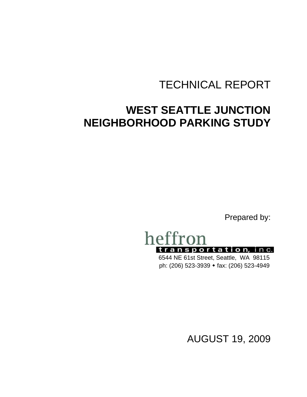# TECHNICAL REPORT

# **WEST SEATTLE JUNCTION NEIGHBORHOOD PARKING STUDY**

Prepared by:



6544 NE 61st Street, Seattle, WA 98115 ph: (206) 523-3939 fax: (206) 523-4949

AUGUST 19, 2009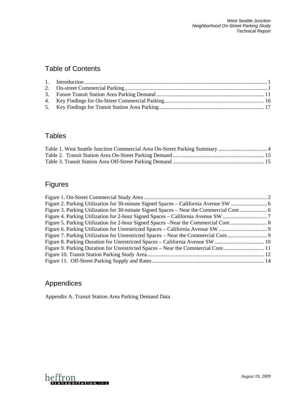# Table of Contents

## **Tables**

# Figures

| Figure 3. Parking Utilization for 30-minute Signed Spaces – Near the Commercial Core |  |
|--------------------------------------------------------------------------------------|--|
|                                                                                      |  |
|                                                                                      |  |
|                                                                                      |  |
|                                                                                      |  |
|                                                                                      |  |
| Figure 9. Parking Duration for Unrestricted Spaces – Near the Commercial Core11      |  |
|                                                                                      |  |
|                                                                                      |  |
|                                                                                      |  |

# Appendices

Appendix A. Transit Station Area Parking Demand Data

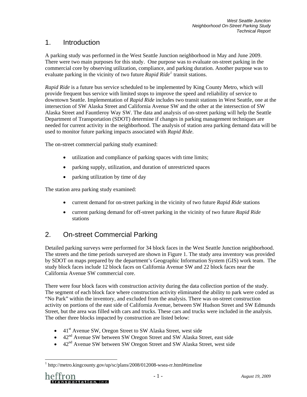## <span id="page-2-0"></span>1. Introduction

A parking study was performed in the West Seattle Junction neighborhood in May and June 2009. There were two main purposes for this study. One purpose was to evaluate on-street parking in the commercial core by observing utilization, compliance, and parking duration. Another purpose was to evaluate parking in the vicinity of two future *Rapid Ride[1](#page-2-2)* transit stations.

*Rapid Ride* is a future bus service scheduled to be implemented by King County Metro, which will provide frequent bus service with limited stops to improve the speed and reliability of service to downtown Seattle. Implementation of *Rapid Ride* includes two transit stations in West Seattle, one at the intersection of SW Alaska Street and California Avenue SW and the other at the intersection of SW Alaska Street and Fauntleroy Way SW. The data and analysis of on-street parking will help the Seattle Department of Transportation (SDOT) determine if changes in parking management techniques are needed for current activity in the neighborhood. The analysis of station area parking demand data will be used to monitor future parking impacts associated with *Rapid Ride*.

The on-street commercial parking study examined:

- utilization and compliance of parking spaces with time limits;
- parking supply, utilization, and duration of unrestricted spaces
- parking utilization by time of day

The station area parking study examined:

- current demand for on-street parking in the vicinity of two future *Rapid Ride* stations
- current parking demand for off-street parking in the vicinity of two future *Rapid Ride* stations

# <span id="page-2-1"></span>2. On-street Commercial Parking

Detailed parking surveys were performed for 34 block faces in the West Seattle Junction neighborhood. The streets and the time periods surveyed are shown in [Figure 1](#page-3-0). The study area inventory was provided by SDOT on maps prepared by the department's Geographic Information System (GIS) work team. The study block faces include 12 block faces on California Avenue SW and 22 block faces near the California Avenue SW commercial core.

There were four block faces with construction activity during the data collection portion of the study. The segment of each block face where construction activity eliminated the ability to park were coded as "No Park" within the inventory, and excluded from the analysis. There was on-street construction activity on portions of the east side of California Avenue, between SW Hudson Street and SW Edmunds Street, but the area was filled with cars and trucks. These cars and trucks were included in the analysis. The other three blocks impacted by construction are listed below:

- $\bullet$  41<sup>st</sup> Avenue SW, Oregon Street to SW Alaska Street, west side
- 42<sup>nd</sup> Avenue SW between SW Oregon Street and SW Alaska Street, east side
- $\bullet$  42<sup>nd</sup> Avenue SW between SW Oregon Street and SW Alaska Street, west side

l

<span id="page-2-2"></span><sup>&</sup>lt;sup>1</sup> http://metro.kingcounty.gov/up/sc/plans/2008/012008-wsea-rr.html#timeline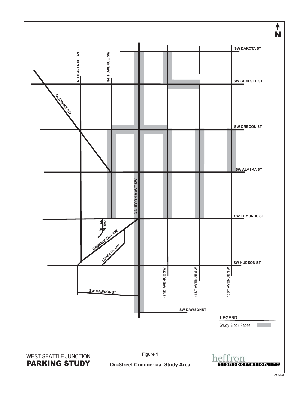<span id="page-3-0"></span>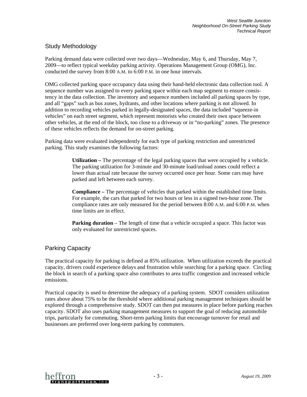## Study Methodology

Parking demand data were collected over two days—Wednesday, May 6, and Thursday, May 7, 2009—to reflect typical weekday parking activity. Operations Management Group (OMG), Inc. conducted the survey from 8:00 A.M. to 6:00 P.M. in one hour intervals.

OMG collected parking space occupancy data using their hand-held electronic data collection tool. A sequence number was assigned to every parking space within each map segment to ensure consistency in the data collection. The inventory and sequence numbers included all parking spaces by type, and all "gaps" such as bus zones, hydrants, and other locations where parking is not allowed. In addition to recording vehicles parked in legally-designated spaces, the data included "squeeze-in vehicles" on each street segment, which represent motorists who created their own space between other vehicles, at the end of the block, too close to a driveway or in "no-parking" zones. The presence of these vehicles reflects the demand for on-street parking.

Parking data were evaluated independently for each type of parking restriction and unrestricted parking. This study examines the following factors:

> **Utilization –** The percentage of the legal parking spaces that were occupied by a vehicle. The parking utilization for 3-minute and 30-minute load/unload zones could reflect a lower than actual rate because the survey occurred once per hour. Some cars may have parked and left between each survey.

> **Compliance –** The percentage of vehicles that parked within the established time limits. For example, the cars that parked for two hours or less in a signed two-hour zone. The compliance rates are only measured for the period between 8:00 A.M. and 6:00 P.M. when time limits are in effect.

**Parking duration** – The length of time that a vehicle occupied a space. This factor was only evaluated for unrestricted spaces.

## Parking Capacity

The practical capacity for parking is defined at 85% utilization. When utilization exceeds the practical capacity, drivers could experience delays and frustration while searching for a parking space. Circling the block in search of a parking space also contributes to area traffic congestion and increased vehicle emissions.

Practical capacity is used to determine the adequacy of a parking system. SDOT considers utilization rates above about 75% to be the threshold where additional parking management techniques should be explored through a comprehensive study. SDOT can then put measures in place before parking reaches capacity. SDOT also uses parking management measures to support the goal of reducing automobile trips, particularly for commuting. Short-term parking limits that encourage turnover for retail and businesses are preferred over long-term parking by commuters.

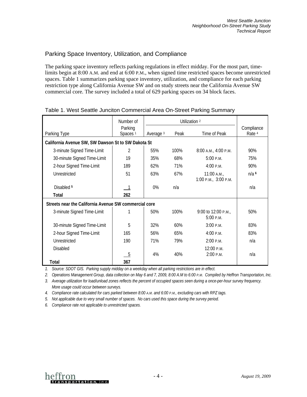## Parking Space Inventory, Utilization, and Compliance

The parking space inventory reflects parking regulations in effect midday. For the most part, timelimits begin at 8:00 A.M. and end at 6:00 P.M., when signed time restricted spaces become unrestricted spaces. [Table 1](#page-5-0) summarizes parking space inventory, utilization, and compliance for each parking restriction type along California Avenue SW and on study streets near the California Avenue SW commercial core. The survey included a total of 629 parking spaces on 34 block faces.

<span id="page-5-0"></span>

|                                                       | Number of                      | Utilization <sup>2</sup> |      |                                       |                                 |
|-------------------------------------------------------|--------------------------------|--------------------------|------|---------------------------------------|---------------------------------|
| Parking Type                                          | Parking<br>Spaces <sup>1</sup> | Average <sup>3</sup>     | Peak | Time of Peak                          | Compliance<br>Rate <sup>4</sup> |
| California Avenue SW, SW Dawson St to SW Dakota St    |                                |                          |      |                                       |                                 |
| 3-minute Signed Time-Limit                            | 2                              | 55%                      | 100% | 8:00 A.M., 4:00 P.M.                  | 90%                             |
| 30-minute Signed Time-Limit                           | 19                             | 35%                      | 68%  | 5:00 P.M.                             | 75%                             |
| 2-hour Signed Time-Limit                              | 189                            | 62%                      | 71%  | 4:00 P.M.                             | 90%                             |
| Unrestricted                                          | 51                             | 63%                      | 67%  | $11:00$ A.M.,<br>1:00 P.M., 3:00 P.M. | $n/a$ <sup>6</sup>              |
| Disabled <sup>5</sup>                                 |                                | 0%                       | n/a  |                                       | n/a                             |
| Total                                                 | 262                            |                          |      |                                       |                                 |
| Streets near the California Avenue SW commercial core |                                |                          |      |                                       |                                 |
| 3-minute Signed Time-Limit                            | 1                              | 50%                      | 100% | 9:00 to 12:00 P.M.<br>5:00 P.M.       | 50%                             |
| 30-minute Signed Time-Limit                           | 5                              | 32%                      | 60%  | 3:00 P.M.                             | 83%                             |
| 2-hour Signed Time-Limit                              | 165                            | 56%                      | 65%  | 4:00 P.M.                             | 83%                             |
| Unrestricted                                          | 190                            | 71%                      | 79%  | 2:00 P.M.                             | n/a                             |
| <b>Disabled</b>                                       | - 5                            | 4%                       | 40%  | 12:00 P.M.<br>2:00 P.M.               | n/a                             |
| Total                                                 | 367                            |                          |      |                                       |                                 |

#### Table 1. West Seattle Junciton Commercial Area On-Street Parking Summary

*1. Source: SDOT GIS. Parking supply midday on a weekday when all parking restrictions are in effect.* 

*2. Operations Management Group, data collection on May 6 and 7, 2009, 8:00 A.M to 6:00 P.M. Compiled by Heffron Transportation, Inc.* 

*3. Average utilization for load/unload zones reflects the percent of occupied spaces seen during a once-per-hour survey frequency. More usage could occur between surveys.* 

*4. Compliance rate calculated for cars parked between 8:00 A.M. and 6:00 P.M., excluding cars with RPZ tags.* 

*5. Not applicable due to very small number of spaces. No cars used this space during the survey period.* 

*6. Compliance rate not applicable to unrestricted spaces.* 

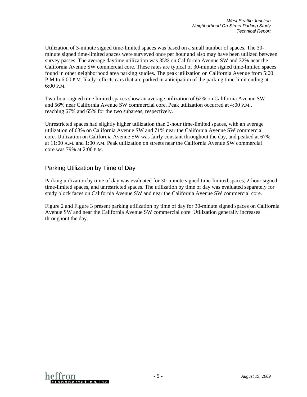Utilization of 3-minute signed time-limited spaces was based on a small number of spaces. The 30 minute signed time-limited spaces were surveyed once per hour and also may have been utilized between survey passes. The average daytime utilization was 35% on California Avenue SW and 32% near the California Avenue SW commercial core. These rates are typical of 30-minute signed time-limited spaces found in other neighborhood area parking studies. The peak utilization on California Avenue from 5:00 P.M to 6:00 P.M. likely reflects cars that are parked in anticipation of the parking time-limit ending at 6:00 P.M.

Two-hour signed time limited spaces show an average utilization of 62% on California Avenue SW and 56% near California Avenue SW commercial core. Peak utilization occurred at 4:00 P.M., reaching 67% and 65% for the two subareas, respectively.

Unrestricted spaces had slightly higher utilization than 2-hour time-limited spaces, with an average utilization of 63% on California Avenue SW and 71% near the California Avenue SW commercial core. Utilization on California Avenue SW was fairly constant throughout the day, and peaked at 67% at 11:00 A.M. and 1:00 P.M. Peak utilization on streets near the California Avenue SW commercial core was 79% at 2:00 P.M.

#### Parking Utilization by Time of Day

Parking utilization by time of day was evaluated for 30-minute signed time-limited spaces, 2-hour signed time-limited spaces, and unrestricted spaces. The utilization by time of day was evaluated separately for study block faces on California Avenue SW and near the California Avenue SW commercial core.

[Figure 2](#page-7-0) and [Figure 3](#page-7-1) present parking utilization by time of day for 30-minute signed spaces on California Avenue SW and near the California Avenue SW commercial core. Utilization generally increases throughout the day.

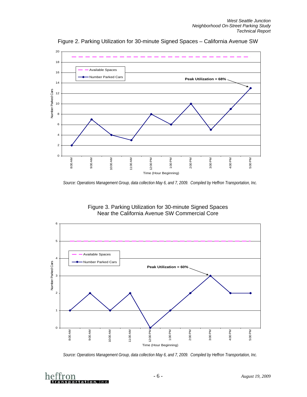<span id="page-7-0"></span>

Figure 2. Parking Utilization for 30-minute Signed Spaces – California Avenue SW

*Source: Operations Management Group, data collection May 6, and 7, 2009. Compiled by Heffron Transportation, Inc.* 

Figure 3. Parking Utilization for 30-minute Signed Spaces Near the California Avenue SW Commercial Core

<span id="page-7-1"></span>

*Source: Operations Management Group, data collection May 6, and 7, 2009. Compiled by Heffron Transportation, Inc.* 

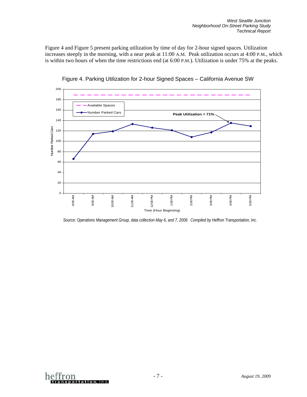[Figure 4](#page-8-0) and [Figure 5](#page-9-0) present parking utilization by time of day for 2-hour signed spaces. Utilization increases steeply in the morning, with a near peak at 11:00 A.M. Peak utilization occurs at 4:00 P.M., which is within two hours of when the time restrictions end (at 6:00 P.M.). Utilization is under 75% at the peaks.

<span id="page-8-0"></span>



*Source: Operations Management Group, data collection May 6, and 7, 2009. Compiled by Heffron Transportation, Inc.* 

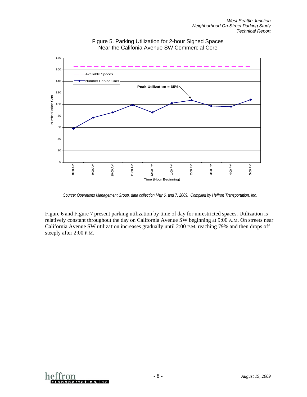<span id="page-9-0"></span>



[Figure 6](#page-10-0) and [Figure 7](#page-10-1) present parking utilization by time of day for unrestricted spaces. Utilization is relatively constant throughout the day on California Avenue SW beginning at 9:00 A.M. On streets near California Avenue SW utilization increases gradually until 2:00 P.M. reaching 79% and then drops off steeply after 2:00 P.M.



*Source: Operations Management Group, data collection May 6, and 7, 2009. Compiled by Heffron Transportation, Inc.*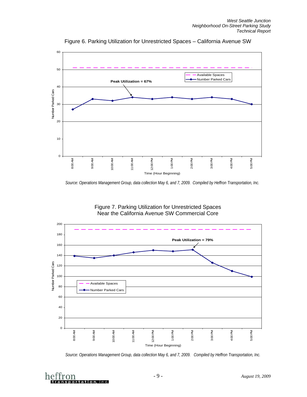<span id="page-10-0"></span>

Figure 6. Parking Utilization for Unrestricted Spaces – California Avenue SW

Figure 7. Parking Utilization for Unrestricted Spaces Near the California Avenue SW Commercial Core

<span id="page-10-1"></span>

*Source: Operations Management Group, data collection May 6, and 7, 2009. Compiled by Heffron Transportation, Inc.* 



*Source: Operations Management Group, data collection May 6, and 7, 2009. Compiled by Heffron Transportation, Inc.*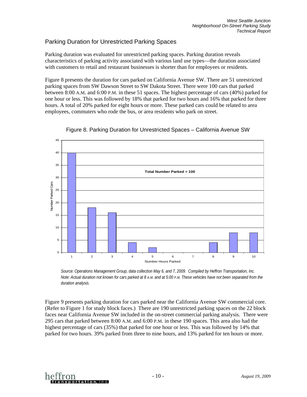## Parking Duration for Unrestricted Parking Spaces

Parking duration was evaluated for unrestricted parking spaces. Parking duration reveals characteristics of parking activity associated with various land use types—the duration associated with customers to retail and restaurant businesses is shorter than for employees or residents.

[Figure 8](#page-11-0) presents the duration for cars parked on California Avenue SW. There are 51 unrestricted parking spaces from SW Dawson Street to SW Dakota Street. There were 100 cars that parked between 8:00 A.M. and 6:00 P.M. in these 51 spaces. The highest percentage of cars (40%) parked for one hour or less. This was followed by 18% that parked for two hours and 16% that parked for three hours. A total of 20% parked for eight hours or more. These parked cars could be related to area employees, commuters who rode the bus, or area residents who park on street.

<span id="page-11-0"></span>

Figure 8. Parking Duration for Unrestricted Spaces – California Avenue SW

*Source: Operations Management Group, data collection May 6, and 7, 2009. Compiled by Heffron Transportation, Inc. Note: Actual duration not known for cars parked at 8 A.M. and at 5:00 P.M. These vehicles have not been separated from the duration analysis.* 

[Figure 9](#page-12-1) presents parking duration for cars parked near the California Avenue SW commercial core. (Refer to [Figure 1](#page-3-0) for study block faces.) There are 190 unrestricted parking spaces on the 22 block faces near California Avenue SW included in the on-street commercial parking analysis. There were 295 cars that parked between 8:00 A.M. and 6:00 P.M. in these 190 spaces. This area also had the highest percentage of cars (35%) that parked for one hour or less. This was followed by 14% that parked for two hours. 39% parked from three to nine hours, and 13% parked for ten hours or more.

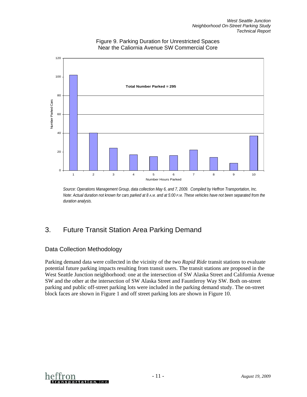<span id="page-12-1"></span>

Figure 9. Parking Duration for Unrestricted Spaces Near the Caliornia Avenue SW Commercial Core

*Source: Operations Management Group, data collection May 6, and 7, 2009. Compiled by Heffron Transportation, Inc. Note: Actual duration not known for cars parked at 8 A.M. and at 5:00 P.M. These vehicles have not been separated from the duration analysis.* 

# <span id="page-12-0"></span>3. Future Transit Station Area Parking Demand

## Data Collection Methodology

Parking demand data were collected in the vicinity of the two *Rapid Ride* transit stations to evaluate potential future parking impacts resulting from transit users. The transit stations are proposed in the West Seattle Junction neighborhood: one at the intersection of SW Alaska Street and California Avenue SW and the other at the intersection of SW Alaska Street and Fauntleroy Way SW. Both on-street parking and public off-street parking lots were included in the parking demand study. The on-street block faces are shown in [Figure 1](#page-3-0) and off street parking lots are shown in [Figure 10](#page-13-0).

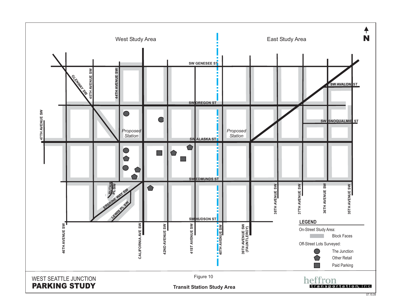<span id="page-13-0"></span>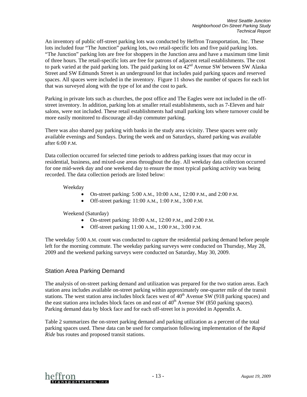An inventory of public off-street parking lots was conducted by Heffron Transportation, Inc. These lots included four "The Junction" parking lots, two retail-specific lots and five paid parking lots. "The Junction" parking lots are free for shoppers in the Junction area and have a maximum time limit of three hours. The retail-specific lots are free for patrons of adjacent retail establishments. The cost to park varied at the paid parking lots. The paid parking lot on  $42<sup>nd</sup>$  Avenue SW between SW Alaska Street and SW Edmunds Street is an underground lot that includes paid parking spaces and reserved spaces. All spaces were included in the inventory. [Figure 11](#page-15-0) shows the number of spaces for each lot that was surveyed along with the type of lot and the cost to park.

Parking in private lots such as churches, the post office and The Eagles were not included in the offstreet inventory. In addition, parking lots at smaller retail establishments, such as 7-Eleven and hair salons, were not included. These retail establishments had small parking lots where turnover could be more easily monitored to discourage all-day commuter parking.

There was also shared pay parking with banks in the study area vicinity. These spaces were only available evenings and Sundays. During the week and on Saturdays, shared parking was available after 6:00 P.M.

Data collection occurred for selected time periods to address parking issues that may occur in residential, business, and mixed-use areas throughout the day. All weekday data collection occurred for one mid-week day and one weekend day to ensure the most typical parking activity was being recorded. The data collection periods are listed below:

Weekday

- On-street parking: 5:00 A.M., 10:00 A.M., 12:00 P.M., and 2:00 P.M.
- Off-street parking: 11:00 A.M., 1:00 P.M., 3:00 P.M.

Weekend (Saturday)

- On-street parking: 10:00 A.M., 12:00 P.M., and 2:00 P.M.
- Off-street parking 11:00 A.M., 1:00 P.M., 3:00 P.M.

The weekday 5:00 A.M. count was conducted to capture the residential parking demand before people left for the morning commute. The weekday parking surveys were conducted on Thursday, May 28, 2009 and the weekend parking surveys were conducted on Saturday, May 30, 2009.

### Station Area Parking Demand

The analysis of on-street parking demand and utilization was prepared for the two station areas. Each station area includes available on-street parking within approximately one-quarter mile of the transit stations. The west station area includes block faces west of  $40<sup>th</sup>$  Avenue SW (918 parking spaces) and the east station area includes block faces on and east of  $40<sup>th</sup>$  Avenue SW (850 parking spaces). Parking demand data by block face and for each off-street lot is provided in Appendix A.

[Table 2](#page-16-0) summarizes the on-street parking demand and parking utilization as a percent of the total parking spaces used. These data can be used for comparison following implementation of the *Rapid Ride* bus routes and proposed transit stations.

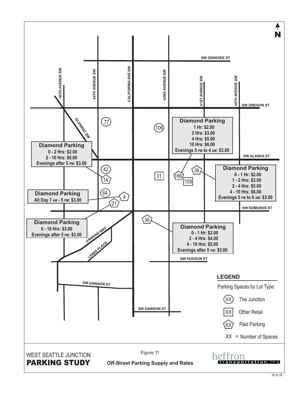<span id="page-15-0"></span>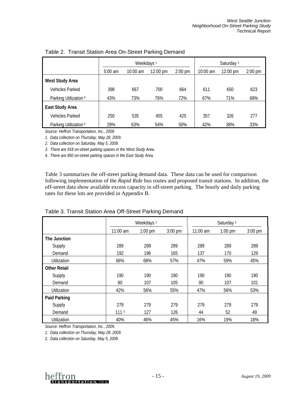<span id="page-16-0"></span>

|                                  |           | Weekdays <sup>1</sup> |                    | Saturday <sup>2</sup> |          |          |           |
|----------------------------------|-----------|-----------------------|--------------------|-----------------------|----------|----------|-----------|
|                                  | $5:00$ am | $10:00$ am            | $12:00 \text{ pm}$ | $2:00$ pm             | 10:00 am | 12:00 pm | $2:00$ pm |
| <b>West Study Area</b>           |           |                       |                    |                       |          |          |           |
| <b>Vehicles Parked</b>           | 398       | 667                   | 700                | 664                   | 611      | 650      | 623       |
| Parking Utilization <sup>3</sup> | 43%       | 73%                   | 76%                | 72%                   | 67%      | 71%      | 68%       |
| <b>East Study Area</b>           |           |                       |                    |                       |          |          |           |
| <b>Vehicles Parked</b>           | 250       | 535                   | 455                | 425                   | 357      | 326      | 277       |
| Parking Utilization 4            | 29%       | 63%                   | 54%                | 50%                   | 42%      | 38%      | 33%       |

Table 2. Transit Station Area On-Street Parking Demand

*Source: Heffron Transportation, Inc., 2009.* 

*1. Data collection on Thursday, May 28, 2009.* 

*2. Data collection on Saturday, May 5, 2009.* 

*3. There are 918 on-street parking spaces in the West Study Area.* 

*4. There are 850 on-street parking spaces in the East Study Area.* 

[Table 3](#page-16-1) summarizes the off-street parking demand data. These data can be used for comparison following implementation of the *Rapid Ride* bus routes and proposed transit stations. In addition, the off-street data show available excess capacity in off-street parking. The hourly and daily parking rates for these lots are provided in Appendix B.

<span id="page-16-1"></span>

|                     | Weekdays <sup>1</sup> |           |           | Saturday <sup>2</sup> |           |           |
|---------------------|-----------------------|-----------|-----------|-----------------------|-----------|-----------|
|                     | $11:00$ am            | $1:00$ pm | $3:00$ pm | $11:00$ am            | $1:00$ pm | $3:00$ pm |
| The Junction        |                       |           |           |                       |           |           |
| Supply              | 289                   | 289       | 289       | 289                   | 289       | 289       |
| Demand              | 192                   | 196       | 165       | 137                   | 170       | 129       |
| Utilization         | 66%                   | 68%       | 57%       | 47%                   | 59%       | 45%       |
| <b>Other Retail</b> |                       |           |           |                       |           |           |
| Supply              | 190                   | 190       | 190       | 190                   | 190       | 190       |
| Demand              | 80                    | 107       | 105       | 90                    | 107       | 101       |
| Utilization         | 42%                   | 56%       | 55%       | 47%                   | 56%       | 53%       |
| Paid Parking        |                       |           |           |                       |           |           |
| Supply              | 279                   | 279       | 279       | 279                   | 279       | 279       |
| Demand              | 111 <sup>3</sup>      | 127       | 126       | 44                    | 52        | 49        |
| Utilization         | 40%                   | 46%       | 45%       | 16%                   | 19%       | 18%       |

Table 3. Transit Station Area Off-Street Parking Demand

*Source: Heffron Transportation, Inc., 2009.* 

*1. Data collection on Thursday, May 28, 2009.* 

*2. Data collection on Saturday, May 5, 2009.* 

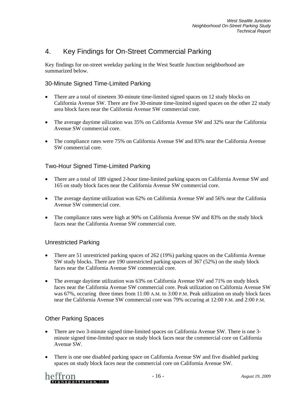# <span id="page-17-0"></span>4. Key Findings for On-Street Commercial Parking

Key findings for on-street weekday parking in the West Seattle Junction neighborhood are summarized below.

### 30-Minute Signed Time-Limited Parking

- There are a total of nineteen 30-minute time-limited signed spaces on 12 study blocks on California Avenue SW. There are five 30-minute time-limited signed spaces on the other 22 study area block faces near the California Avenue SW commercial core.
- The average daytime uilization was 35% on California Avenue SW and 32% near the California Avenue SW commercial core.
- The compliance rates were 75% on California Avenue SW and 83% near the California Avenue SW commercial core.

## Two-Hour Signed Time-Limited Parking

- There are a total of 189 signed 2-hour time-limited parking spaces on California Avenue SW and 165 on study block faces near the California Avenue SW commercial core.
- The average daytime utilization was 62% on California Avenue SW and 56% near the Califonia Avenue SW commercial core.
- The compliance rates were high at 90% on California Avenue SW and 83% on the study block faces near the California Avenue SW commercial core.

### Unrestricted Parking

- There are 51 unrestricted parking spaces of 262 (19%) parking spaces on the California Avenue SW study blocks. There are 190 unrestricted parking spaces of 367 (52%) on the study block faces near the California Avenue SW commercial core.
- The average daytime utilization was 63% on California Avenue SW and 71% on study block faces near the California Avenue SW commercial core. Peak utilization on California Avenue SW was 67%, occuring three times from 11:00 A.M. to 3:00 P.M. Peak uitlization on study block faces near the California Avenue SW commercial core was 79% occuring at 12:00 P.M. and 2:00 P.M.

### Other Parking Spaces

- There are two 3-minute signed time-limited spaces on California Avenue SW. There is one 3minute signed time-limited space on study block faces near the commercial core on California Avenue SW.
- There is one one disabled parking space on California Avenue SW and five disabled parking spaces on study block faces near the commercial core on California Avenue SW.

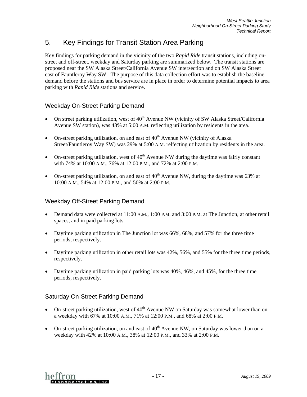# <span id="page-18-0"></span>5. Key Findings for Transit Station Area Parking

Key findings for parking demand in the vicinity of the two *Rapid Ride* transit stations, including onstreet and off-street, weekday and Saturday parking are summarized below. The transit stations are proposed near the SW Alaska Street/California Avenue SW intersection and on SW Alaska Street east of Fauntleroy Way SW. The purpose of this data collection effort was to establish the baseline demand before the stations and bus service are in place in order to determine potential impacts to area parking with *Rapid Ride* stations and service.

## Weekday On-Street Parking Demand

- On street parking utilization, west of  $40<sup>th</sup>$  Avenue NW (vicinity of SW Alaska Street/California Avenue SW station), was 43% at 5:00 A.M. reflecting utilization by residents in the area.
- On-street parking utilization, on and east of  $40<sup>th</sup>$  Avenue NW (vicinity of Alaska Street/Fauntleroy Way SW) was 29% at 5:00 A.M. relfecting utilization by residents in the area.
- On-street parking utilization, west of  $40<sup>th</sup>$  Avenue NW during the daytime was fairly constant with 74% at 10:00 A.M., 76% at 12:00 P.M., and 72% at 2:00 P.M.
- On-street parking utilization, on and east of  $40<sup>th</sup>$  Avenue NW, during the daytime was 63% at 10:00 A.M., 54% at 12:00 P.M., and 50% at 2:00 P.M.

### Weekday Off-Street Parking Demand

- Demand data were collected at 11:00 A.M., 1:00 P.M. and 3:00 P.M. at The Junction, at other retail spaces, and in paid parking lots.
- Daytime parking utilization in The Junction lot was 66%, 68%, and 57% for the three time periods, respectively.
- Daytime parking utilization in other retail lots was 42%, 56%, and 55% for the three time periods, respectively.
- Daytime parking utilization in paid parking lots was 40%, 46%, and 45%, for the three time periods, respectively.

### Saturday On-Street Parking Demand

- On-street parking utilization, west of  $40<sup>th</sup>$  Avenue NW on Saturday was somewhat lower than on a weekday with 67% at 10:00 A.M., 71% at 12:00 P.M., and 68% at 2:00 P.M.
- On-street parking utilization, on and east of  $40<sup>th</sup>$  Avenue NW, on Saturday was lower than on a weekday with 42% at 10:00 A.M., 38% at 12:00 P.M., and 33% at 2:00 P.M.

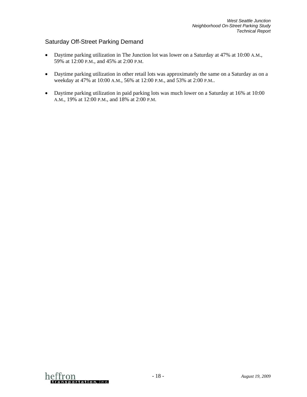### Saturday Off-Street Parking Demand

- Daytime parking utilization in The Junction lot was lower on a Saturday at 47% at 10:00 A.M., 59% at 12:00 P.M., and 45% at 2:00 P.M.
- Daytime parking utilization in other retail lots was approximately the same on a Saturday as on a weekday at 47% at 10:00 A.M., 56% at 12:00 P.M., and 53% at 2:00 P.M..
- Daytime parking utilization in paid parking lots was much lower on a Saturday at 16% at 10:00 A.M., 19% at 12:00 P.M., and 18% at 2:00 P.M.

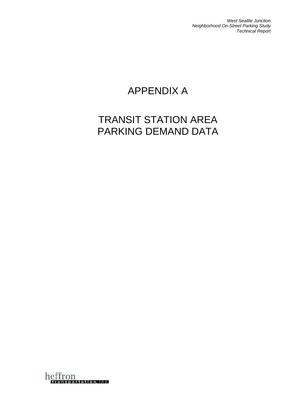*West Seattle Junction Neighborhood On-Street Parking Study Technical Report* 

# APPENDIX A

# TRANSIT STATION AREA PARKING DEMAND DATA

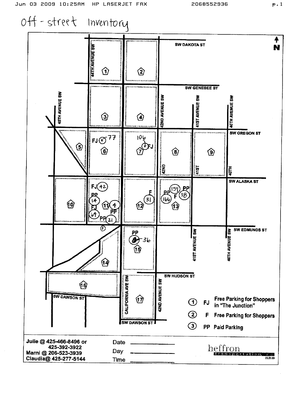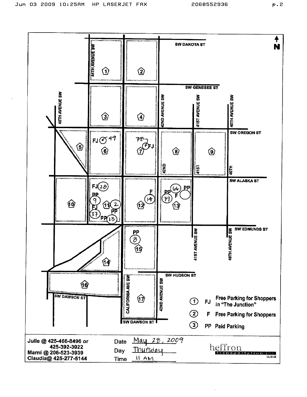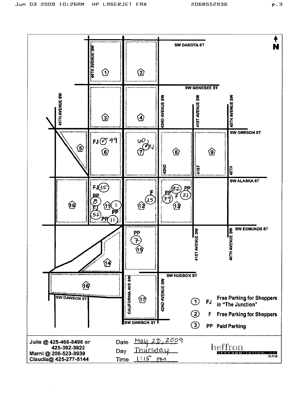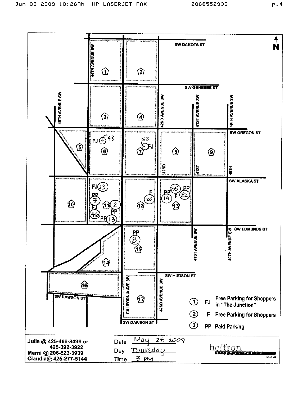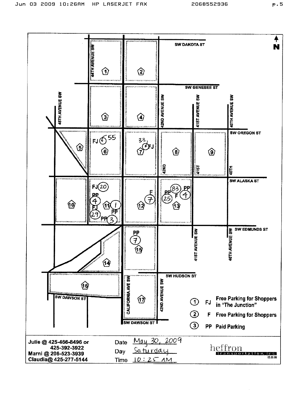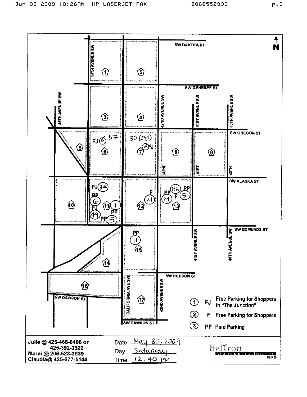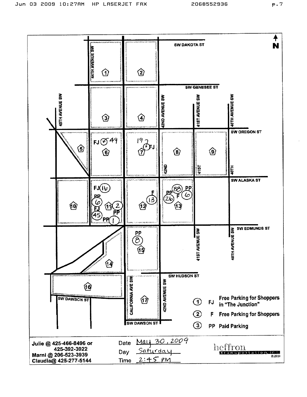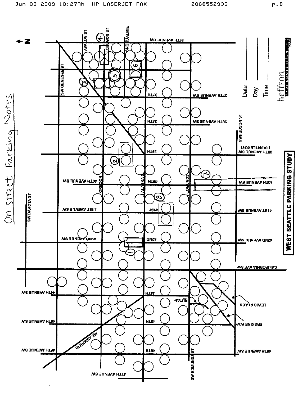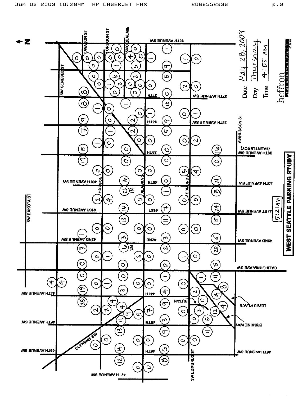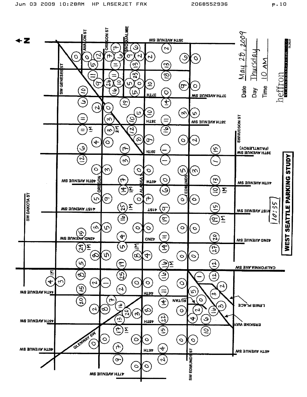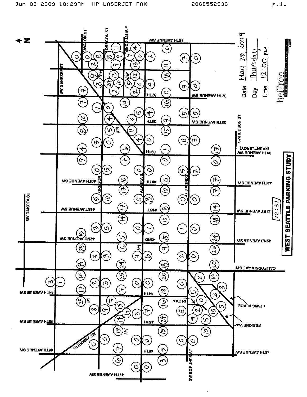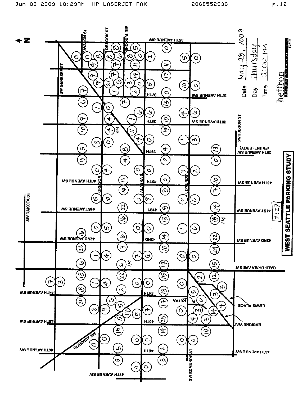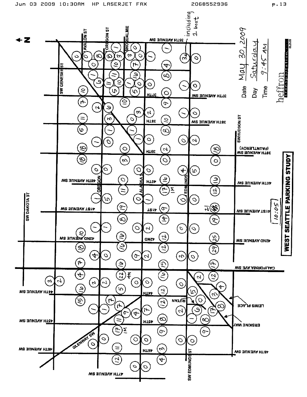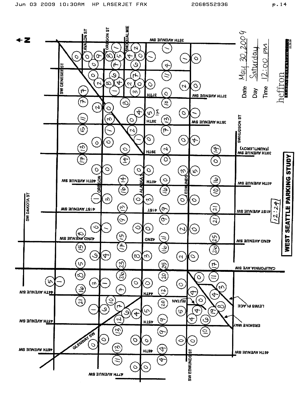